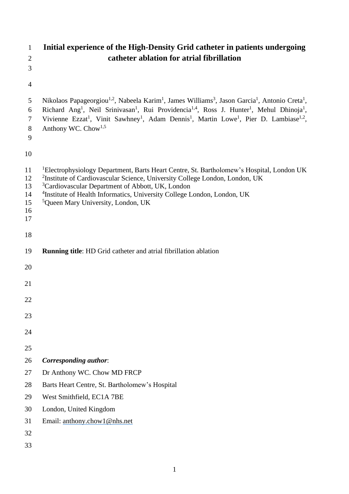| $\mathbf{1}$<br>$\overline{2}$          | Initial experience of the High-Density Grid catheter in patients undergoing<br>catheter ablation for atrial fibrillation                                                                                                                                                                                                                                                                                                                                                                                     |  |  |  |
|-----------------------------------------|--------------------------------------------------------------------------------------------------------------------------------------------------------------------------------------------------------------------------------------------------------------------------------------------------------------------------------------------------------------------------------------------------------------------------------------------------------------------------------------------------------------|--|--|--|
| 3                                       |                                                                                                                                                                                                                                                                                                                                                                                                                                                                                                              |  |  |  |
| $\overline{4}$                          |                                                                                                                                                                                                                                                                                                                                                                                                                                                                                                              |  |  |  |
| $5\overline{)}$<br>6<br>7<br>$8\,$<br>9 | Nikolaos Papageorgiou <sup>1,2</sup> , Nabeela Karim <sup>1</sup> , James Williams <sup>3</sup> , Jason Garcia <sup>1</sup> , Antonio Creta <sup>1</sup> ,<br>Richard Ang <sup>1</sup> , Neil Srinivasan <sup>1</sup> , Rui Providencia <sup>1,4</sup> , Ross J. Hunter <sup>1</sup> , Mehul Dhinoja <sup>1</sup> ,<br>Vivienne Ezzat <sup>1</sup> , Vinit Sawhney <sup>1</sup> , Adam Dennis <sup>1</sup> , Martin Lowe <sup>1</sup> , Pier D. Lambiase <sup>1,2</sup> ,<br>Anthony WC. Chow <sup>1,5</sup> |  |  |  |
| 10                                      |                                                                                                                                                                                                                                                                                                                                                                                                                                                                                                              |  |  |  |
| 11<br>12<br>13<br>14<br>15<br>16<br>17  | <sup>1</sup> Electrophysiology Department, Barts Heart Centre, St. Bartholomew's Hospital, London UK<br><sup>2</sup> Institute of Cardiovascular Science, University College London, London, UK<br><sup>3</sup> Cardiovascular Department of Abbott, UK, London<br><sup>4</sup> Institute of Health Informatics, University College London, London, UK<br><sup>5</sup> Queen Mary University, London, UK                                                                                                     |  |  |  |
| 18                                      |                                                                                                                                                                                                                                                                                                                                                                                                                                                                                                              |  |  |  |
| 19                                      | <b>Running title:</b> HD Grid catheter and atrial fibrillation ablation                                                                                                                                                                                                                                                                                                                                                                                                                                      |  |  |  |
| 20                                      |                                                                                                                                                                                                                                                                                                                                                                                                                                                                                                              |  |  |  |
| 21                                      |                                                                                                                                                                                                                                                                                                                                                                                                                                                                                                              |  |  |  |
| 22                                      |                                                                                                                                                                                                                                                                                                                                                                                                                                                                                                              |  |  |  |
| 23                                      |                                                                                                                                                                                                                                                                                                                                                                                                                                                                                                              |  |  |  |
| 24                                      |                                                                                                                                                                                                                                                                                                                                                                                                                                                                                                              |  |  |  |
| 25                                      |                                                                                                                                                                                                                                                                                                                                                                                                                                                                                                              |  |  |  |
| 26                                      | <b>Corresponding author:</b>                                                                                                                                                                                                                                                                                                                                                                                                                                                                                 |  |  |  |
| 27                                      | Dr Anthony WC. Chow MD FRCP                                                                                                                                                                                                                                                                                                                                                                                                                                                                                  |  |  |  |
| 28                                      | Barts Heart Centre, St. Bartholomew's Hospital                                                                                                                                                                                                                                                                                                                                                                                                                                                               |  |  |  |
| 29                                      | West Smithfield, EC1A 7BE                                                                                                                                                                                                                                                                                                                                                                                                                                                                                    |  |  |  |
| 30                                      | London, United Kingdom                                                                                                                                                                                                                                                                                                                                                                                                                                                                                       |  |  |  |
| 31                                      | Email: anthony.chow1@nhs.net                                                                                                                                                                                                                                                                                                                                                                                                                                                                                 |  |  |  |
| 32                                      |                                                                                                                                                                                                                                                                                                                                                                                                                                                                                                              |  |  |  |
| 33                                      |                                                                                                                                                                                                                                                                                                                                                                                                                                                                                                              |  |  |  |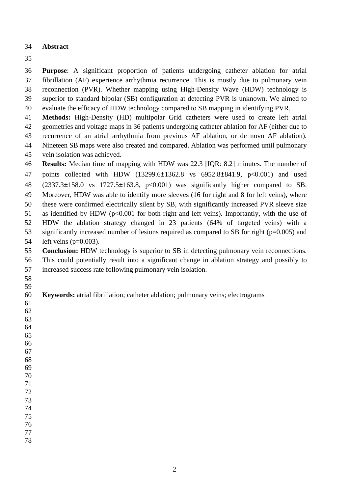## **Abstract**

 **Purpose**: A significant proportion of patients undergoing catheter ablation for atrial fibrillation (AF) experience arrhythmia recurrence. This is mostly due to pulmonary vein reconnection (PVR). Whether mapping using High-Density Wave (HDW) technology is superior to standard bipolar (SB) configuration at detecting PVR is unknown. We aimed to evaluate the efficacy of HDW technology compared to SB mapping in identifying PVR.

 **Methods:** High-Density (HD) multipolar Grid catheters were used to create left atrial geometries and voltage maps in 36 patients undergoing catheter ablation for AF (either due to recurrence of an atrial arrhythmia from previous AF ablation, or de novo AF ablation).

 Nineteen SB maps were also created and compared. Ablation was performed until pulmonary vein isolation was achieved.

 **Results:** Median time of mapping with HDW was 22.3 [IQR: 8.2] minutes. The number of 47 points collected with HDW (13299.6±1362.8 vs 6952.8±841.9, p<0.001) and used (2337.3±158.0 vs 1727.5±163.8, p<0.001) was significantly higher compared to SB. Moreover, HDW was able to identify more sleeves (16 for right and 8 for left veins), where these were confirmed electrically silent by SB, with significantly increased PVR sleeve size 51 as identified by HDW ( $p<0.001$  for both right and left veins). Importantly, with the use of HDW the ablation strategy changed in 23 patients (64% of targeted veins) with a significantly increased number of lesions required as compared to SB for right (p=0.005) and left veins (p=0.003).

 **Conclusion:** HDW technology is superior to SB in detecting pulmonary vein reconnections. This could potentially result into a significant change in ablation strategy and possibly to increased success rate following pulmonary vein isolation.

 

**Keywords:** atrial fibrillation; catheter ablation; pulmonary veins; electrograms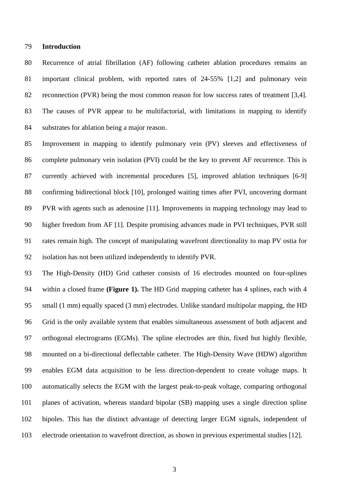#### **Introduction**

 Recurrence of atrial fibrillation (AF) following catheter ablation procedures remains an important clinical problem, with reported rates of 24-55% [1,2] and pulmonary vein reconnection (PVR) being the most common reason for low success rates of treatment [3,4]. The causes of PVR appear to be multifactorial, with limitations in mapping to identify substrates for ablation being a major reason.

 Improvement in mapping to identify pulmonary vein (PV) sleeves and effectiveness of complete pulmonary vein isolation (PVI) could be the key to prevent AF recurrence. This is currently achieved with incremental procedures [5], improved ablation techniques [6-9] confirming bidirectional block [10], prolonged waiting times after PVI, uncovering dormant PVR with agents such as adenosine [11]. Improvements in mapping technology may lead to higher freedom from AF [1]. Despite promising advances made in PVI techniques, PVR still rates remain high. The concept of manipulating wavefront directionality to map PV ostia for isolation has not been utilized independently to identify PVR.

 The High-Density (HD) Grid catheter consists of 16 electrodes mounted on four-splines within a closed frame **(Figure 1).** The HD Grid mapping catheter has 4 splines, each with 4 small (1 mm) equally spaced (3 mm) electrodes. Unlike standard multipolar mapping, the HD Grid is the only available system that enables simultaneous assessment of both adjacent and orthogonal electrograms (EGMs). The spline electrodes are thin, fixed but highly flexible, mounted on a bi-directional deflectable catheter. The High-Density Wave (HDW) algorithm enables EGM data acquisition to be less direction-dependent to create voltage maps. It automatically selects the EGM with the largest peak-to-peak voltage, comparing orthogonal planes of activation, whereas standard bipolar (SB) mapping uses a single direction spline bipoles. This has the distinct advantage of detecting larger EGM signals, independent of electrode orientation to wavefront direction, as shown in previous experimental studies [12].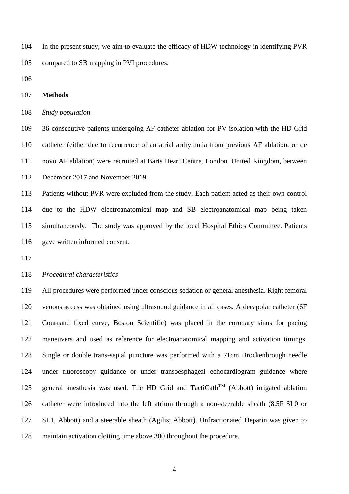In the present study, we aim to evaluate the efficacy of HDW technology in identifying PVR compared to SB mapping in PVI procedures.

#### **Methods**

#### *Study population*

 36 consecutive patients undergoing AF catheter ablation for PV isolation with the HD Grid catheter (either due to recurrence of an atrial arrhythmia from previous AF ablation, or de novo AF ablation) were recruited at Barts Heart Centre, London, United Kingdom, between December 2017 and November 2019.

 Patients without PVR were excluded from the study. Each patient acted as their own control due to the HDW electroanatomical map and SB electroanatomical map being taken simultaneously. The study was approved by the local Hospital Ethics Committee. Patients gave written informed consent.

### *Procedural characteristics*

 All procedures were performed under conscious sedation or general anesthesia. Right femoral venous access was obtained using ultrasound guidance in all cases. A decapolar catheter (6F Cournand fixed curve, Boston Scientific) was placed in the coronary sinus for pacing maneuvers and used as reference for electroanatomical mapping and activation timings. Single or double trans-septal puncture was performed with a 71cm Brockenbrough needle under fluoroscopy guidance or under transoesphageal echocardiogram guidance where 125 general anesthesia was used. The HD Grid and TactiCath<sup>TM</sup> (Abbott) irrigated ablation catheter were introduced into the left atrium through a non-steerable sheath (8.5F SL0 or SL1, Abbott) and a steerable sheath (Agilis; Abbott). Unfractionated Heparin was given to maintain activation clotting time above 300 throughout the procedure.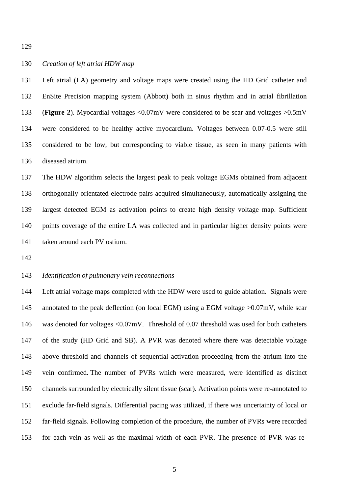### *Creation of left atrial HDW map*

 Left atrial (LA) geometry and voltage maps were created using the HD Grid catheter and EnSite Precision mapping system (Abbott) both in sinus rhythm and in atrial fibrillation (**Figure 2**). Myocardial voltages <0.07mV were considered to be scar and voltages >0.5mV were considered to be healthy active myocardium. Voltages between 0.07-0.5 were still considered to be low, but corresponding to viable tissue, as seen in many patients with diseased atrium.

 The HDW algorithm selects the largest peak to peak voltage EGMs obtained from adjacent orthogonally orientated electrode pairs acquired simultaneously, automatically assigning the largest detected EGM as activation points to create high density voltage map. Sufficient points coverage of the entire LA was collected and in particular higher density points were taken around each PV ostium.

## *Identification of pulmonary vein reconnections*

 Left atrial voltage maps completed with the HDW were used to guide ablation. Signals were 145 annotated to the peak deflection (on local EGM) using a EGM voltage >0.07mV, while scar 146 was denoted for voltages <0.07mV. Threshold of 0.07 threshold was used for both catheters of the study (HD Grid and SB). A PVR was denoted where there was detectable voltage above threshold and channels of sequential activation proceeding from the atrium into the vein confirmed. The number of PVRs which were measured, were identified as distinct channels surrounded by electrically silent tissue (scar). Activation points were re-annotated to exclude far-field signals. Differential pacing was utilized, if there was uncertainty of local or far-field signals. Following completion of the procedure, the number of PVRs were recorded for each vein as well as the maximal width of each PVR. The presence of PVR was re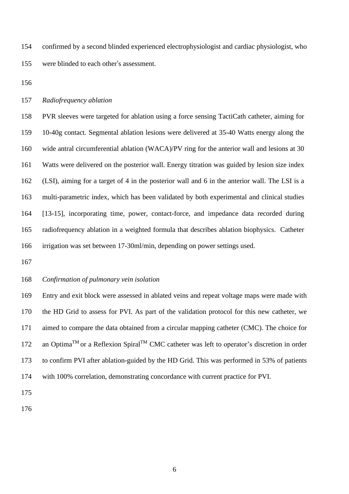confirmed by a second blinded experienced electrophysiologist and cardiac physiologist, who were blinded to each other's assessment.

### *Radiofrequency ablation*

 PVR sleeves were targeted for ablation using a force sensing TactiCath catheter, aiming for 10-40g contact. Segmental ablation lesions were delivered at 35-40 Watts energy along the wide antral circumferential ablation (WACA)/PV ring for the anterior wall and lesions at 30 Watts were delivered on the posterior wall. Energy titration was guided by lesion size index (LSI), aiming for a target of 4 in the posterior wall and 6 in the anterior wall. The LSI is a multi-parametric index, which has been validated by both experimental and clinical studies [13-15], incorporating time, power, contact-force, and impedance data recorded during radiofrequency ablation in a weighted formula that describes ablation biophysics. Catheter irrigation was set between 17-30ml/min, depending on power settings used.

## *Confirmation of pulmonary vein isolation*

 Entry and exit block were assessed in ablated veins and repeat voltage maps were made with the HD Grid to assess for PVI. As part of the validation protocol for this new catheter, we aimed to compare the data obtained from a circular mapping catheter (CMC). The choice for 172 an Optima<sup>TM</sup> or a Reflexion Spiral<sup>TM</sup> CMC catheter was left to operator's discretion in order to confirm PVI after ablation-guided by the HD Grid. This was performed in 53% of patients with 100% correlation, demonstrating concordance with current practice for PVI.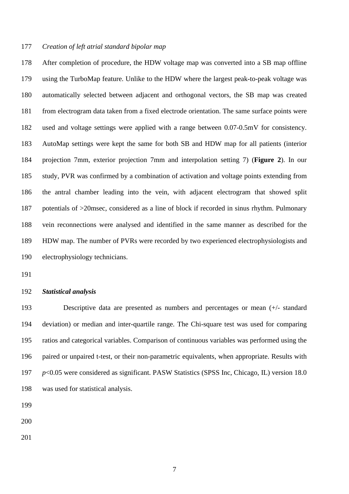#### *Creation of left atrial standard bipolar map*

 After completion of procedure, the HDW voltage map was converted into a SB map offline using the TurboMap feature. Unlike to the HDW where the largest peak-to-peak voltage was automatically selected between adjacent and orthogonal vectors, the SB map was created from electrogram data taken from a fixed electrode orientation. The same surface points were used and voltage settings were applied with a range between 0.07-0.5mV for consistency. AutoMap settings were kept the same for both SB and HDW map for all patients (interior projection 7mm, exterior projection 7mm and interpolation setting 7) (**Figure 2**). In our study, PVR was confirmed by a combination of activation and voltage points extending from the antral chamber leading into the vein, with adjacent electrogram that showed split potentials of >20msec, considered as a line of block if recorded in sinus rhythm. Pulmonary vein reconnections were analysed and identified in the same manner as described for the HDW map. The number of PVRs were recorded by two experienced electrophysiologists and electrophysiology technicians.

#### *Statistical analysis*

 Descriptive data are presented as numbers and percentages or mean (+/- standard deviation) or median and inter-quartile range. The Chi-square test was used for comparing ratios and categorical variables. Comparison of continuous variables was performed using the paired or unpaired t-test, or their non-parametric equivalents, when appropriate. Results with *p*<0.05 were considered as significant. PASW Statistics (SPSS Inc, Chicago, IL) version 18.0 was used for statistical analysis.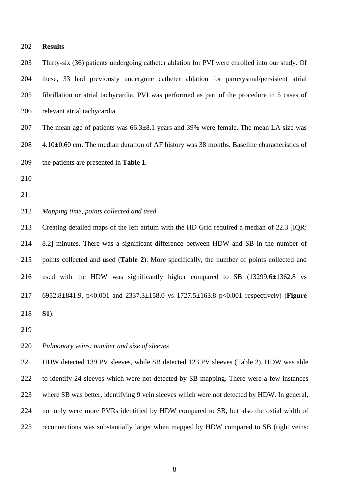#### **Results**

 Thirty-six (36) patients undergoing catheter ablation for PVI were enrolled into our study. Of these, 33 had previously undergone catheter ablation for paroxysmal/persistent atrial fibrillation or atrial tachycardia. PVI was performed as part of the procedure in 5 cases of relevant atrial tachycardia.

207 The mean age of patients was 66.3 $\pm$ 8.1 years and 39% were female. The mean LA size was 208 4.10 $\pm$ 0.60 cm. The median duration of AF history was 38 months. Baseline characteristics of the patients are presented in **Table 1**.

- 
- *Mapping time, points collected and used*

 Creating detailed maps of the left atrium with the HD Grid required a median of 22.3 [IQR: 8.2] minutes. There was a significant difference between HDW and SB in the number of points collected and used (**Table 2**). More specifically, the number of points collected and used with the HDW was significantly higher compared to SB (13299.6±1362.8 vs 6952.8±841.9, p<0.001 and 2337.3±158.0 vs 1727.5±163.8 p<0.001 respectively) (**Figure S1**).

### *Pulmonary veins: number and size of sleeves*

 HDW detected 139 PV sleeves, while SB detected 123 PV sleeves (Table 2). HDW was able to identify 24 sleeves which were not detected by SB mapping. There were a few instances where SB was better, identifying 9 vein sleeves which were not detected by HDW. In general, not only were more PVRs identified by HDW compared to SB, but also the ostial width of reconnections was substantially larger when mapped by HDW compared to SB (right veins: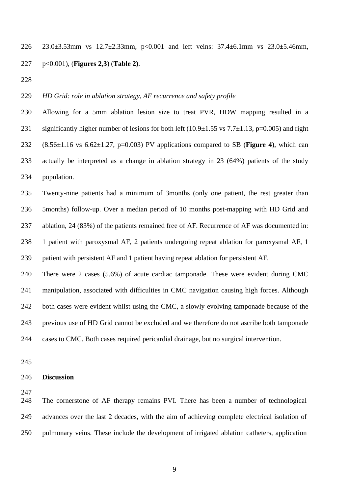23.0±3.53mm vs 12.7±2.33mm, p<0.001 and left veins: 37.4±6.1mm vs 23.0±5.46mm, p<0.001), (**Figures 2,3**) (**Table 2)**.

### *HD Grid: role in ablation strategy, AF recurrence and safety profile*

 Allowing for a 5mm ablation lesion size to treat PVR, HDW mapping resulted in a 231 significantly higher number of lesions for both left  $(10.9\pm1.55 \text{ vs } 7.7\pm1.13, \text{ p=0.005})$  and right (8.56±1.16 vs 6.62±1.27, p=0.003) PV applications compared to SB (**Figure 4**), which can actually be interpreted as a change in ablation strategy in 23 (64%) patients of the study population.

 Twenty-nine patients had a minimum of 3months (only one patient, the rest greater than 5months) follow-up. Over a median period of 10 months post-mapping with HD Grid and ablation, 24 (83%) of the patients remained free of AF. Recurrence of AF was documented in: 1 patient with paroxysmal AF, 2 patients undergoing repeat ablation for paroxysmal AF, 1 patient with persistent AF and 1 patient having repeat ablation for persistent AF.

 There were 2 cases (5.6%) of acute cardiac tamponade. These were evident during CMC manipulation, associated with difficulties in CMC navigation causing high forces. Although both cases were evident whilst using the CMC, a slowly evolving tamponade because of the previous use of HD Grid cannot be excluded and we therefore do not ascribe both tamponade cases to CMC. Both cases required pericardial drainage, but no surgical intervention.

#### **Discussion**

 The cornerstone of AF therapy remains PVI. There has been a number of technological advances over the last 2 decades, with the aim of achieving complete electrical isolation of pulmonary veins. These include the development of irrigated ablation catheters, application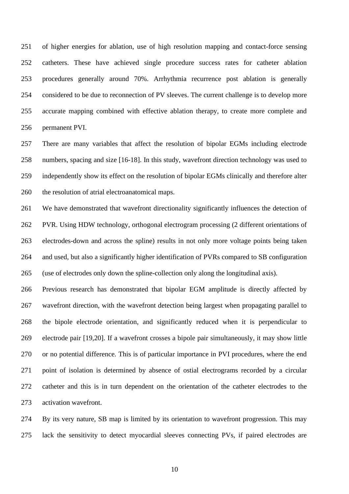of higher energies for ablation, use of high resolution mapping and contact-force sensing catheters. These have achieved single procedure success rates for catheter ablation procedures generally around 70%. Arrhythmia recurrence post ablation is generally considered to be due to reconnection of PV sleeves. The current challenge is to develop more accurate mapping combined with effective ablation therapy, to create more complete and permanent PVI.

 There are many variables that affect the resolution of bipolar EGMs including electrode numbers, spacing and size [16-18]. In this study, wavefront direction technology was used to independently show its effect on the resolution of bipolar EGMs clinically and therefore alter the resolution of atrial electroanatomical maps.

 We have demonstrated that wavefront directionality significantly influences the detection of PVR. Using HDW technology, orthogonal electrogram processing (2 different orientations of electrodes-down and across the spline) results in not only more voltage points being taken and used, but also a significantly higher identification of PVRs compared to SB configuration (use of electrodes only down the spline-collection only along the longitudinal axis).

 Previous research has demonstrated that bipolar EGM amplitude is directly affected by wavefront direction, with the wavefront detection being largest when propagating parallel to the bipole electrode orientation, and significantly reduced when it is perpendicular to electrode pair [19,20]. If a wavefront crosses a bipole pair simultaneously, it may show little or no potential difference. This is of particular importance in PVI procedures, where the end point of isolation is determined by absence of ostial electrograms recorded by a circular catheter and this is in turn dependent on the orientation of the catheter electrodes to the activation wavefront.

 By its very nature, SB map is limited by its orientation to wavefront progression. This may lack the sensitivity to detect myocardial sleeves connecting PVs, if paired electrodes are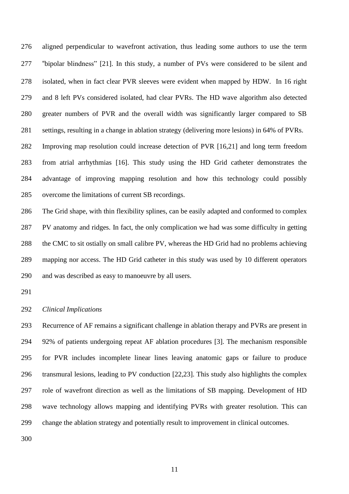aligned perpendicular to wavefront activation, thus leading some authors to use the term "bipolar blindness" [21]. In this study, a number of PVs were considered to be silent and isolated, when in fact clear PVR sleeves were evident when mapped by HDW. In 16 right and 8 left PVs considered isolated, had clear PVRs. The HD wave algorithm also detected greater numbers of PVR and the overall width was significantly larger compared to SB settings, resulting in a change in ablation strategy (delivering more lesions) in 64% of PVRs. Improving map resolution could increase detection of PVR [16,21] and long term freedom from atrial arrhythmias [16]. This study using the HD Grid catheter demonstrates the advantage of improving mapping resolution and how this technology could possibly overcome the limitations of current SB recordings.

 The Grid shape, with thin flexibility splines, can be easily adapted and conformed to complex PV anatomy and ridges. In fact, the only complication we had was some difficulty in getting the CMC to sit ostially on small calibre PV, whereas the HD Grid had no problems achieving mapping nor access. The HD Grid catheter in this study was used by 10 different operators and was described as easy to manoeuvre by all users.

*Clinical Implications*

 Recurrence of AF remains a significant challenge in ablation therapy and PVRs are present in 92% of patients undergoing repeat AF ablation procedures [3]. The mechanism responsible for PVR includes incomplete linear lines leaving anatomic gaps or failure to produce transmural lesions, leading to PV conduction [22,23]. This study also highlights the complex role of wavefront direction as well as the limitations of SB mapping. Development of HD wave technology allows mapping and identifying PVRs with greater resolution. This can change the ablation strategy and potentially result to improvement in clinical outcomes.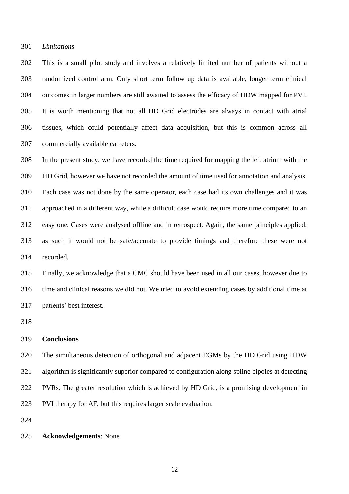#### *Limitations*

 This is a small pilot study and involves a relatively limited number of patients without a randomized control arm. Only short term follow up data is available, longer term clinical outcomes in larger numbers are still awaited to assess the efficacy of HDW mapped for PVI. It is worth mentioning that not all HD Grid electrodes are always in contact with atrial tissues, which could potentially affect data acquisition, but this is common across all commercially available catheters.

 In the present study, we have recorded the time required for mapping the left atrium with the HD Grid, however we have not recorded the amount of time used for annotation and analysis. Each case was not done by the same operator, each case had its own challenges and it was approached in a different way, while a difficult case would require more time compared to an easy one. Cases were analysed offline and in retrospect. Again, the same principles applied, as such it would not be safe/accurate to provide timings and therefore these were not recorded.

 Finally, we acknowledge that a CMC should have been used in all our cases, however due to time and clinical reasons we did not. We tried to avoid extending cases by additional time at patients' best interest.

#### **Conclusions**

 The simultaneous detection of orthogonal and adjacent EGMs by the HD Grid using HDW algorithm is significantly superior compared to configuration along spline bipoles at detecting PVRs. The greater resolution which is achieved by HD Grid, is a promising development in PVI therapy for AF, but this requires larger scale evaluation.

#### **Acknowledgements**: None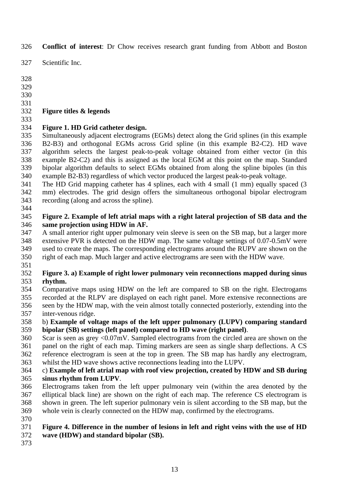**Conflict of interest**: Dr Chow receives research grant funding from Abbott and Boston

Scientific Inc.

- 
- 

## **Figure titles & legends**

# **Figure 1. HD Grid catheter design.**

 Simultaneously adjacent electrograms (EGMs) detect along the Grid splines (in this example B2-B3) and orthogonal EGMs across Grid spline (in this example B2-C2). HD wave algorithm selects the largest peak-to-peak voltage obtained from either vector (in this example B2-C2) and this is assigned as the local EGM at this point on the map. Standard bipolar algorithm defaults to select EGMs obtained from along the spline bipoles (in this example B2-B3) regardless of which vector produced the largest peak-to-peak voltage.

 The HD Grid mapping catheter has 4 splines, each with 4 small (1 mm) equally spaced (3 mm) electrodes. The grid design offers the simultaneous orthogonal bipolar electrogram recording (along and across the spline).

## **Figure 2. Example of left atrial maps with a right lateral projection of SB data and the same projection using HDW in AF.**

 A small anterior right upper pulmonary vein sleeve is seen on the SB map, but a larger more extensive PVR is detected on the HDW map. The same voltage settings of 0.07-0.5mV were used to create the maps. The corresponding electrograms around the RUPV are shown on the

 right of each map. Much larger and active electrograms are seen with the HDW wave. 

## **Figure 3. a) Example of right lower pulmonary vein reconnections mapped during sinus rhythm.**

 Comparative maps using HDW on the left are compared to SB on the right. Electrogams recorded at the RLPV are displayed on each right panel. More extensive reconnections are seen by the HDW map, with the vein almost totally connected posteriorly, extending into the inter-venous ridge.

## b) **Example of voltage maps of the left upper pulmonary (LUPV) comparing standard bipolar (SB) settings (left panel) compared to HD wave (right panel)**.

 Scar is seen as grey <0.07mV. Sampled electrograms from the circled area are shown on the panel on the right of each map. Timing markers are seen as single sharp deflections. A CS reference electrogram is seen at the top in green. The SB map has hardly any electrogram, whilst the HD wave shows active reconnections leading into the LUPV.

## c) **Example of left atrial map with roof view projection, created by HDW and SB during sinus rhythm from LUPV**.

- Electrograms taken from the left upper pulmonary vein (within the area denoted by the elliptical black line) are shown on the right of each map. The reference CS electrogram is shown in green. The left superior pulmonary vein is silent according to the SB map, but the whole vein is clearly connected on the HDW map, confirmed by the electrograms.
- 

# **Figure 4. Difference in the number of lesions in left and right veins with the use of HD**

- **wave (HDW) and standard bipolar (SB).**
-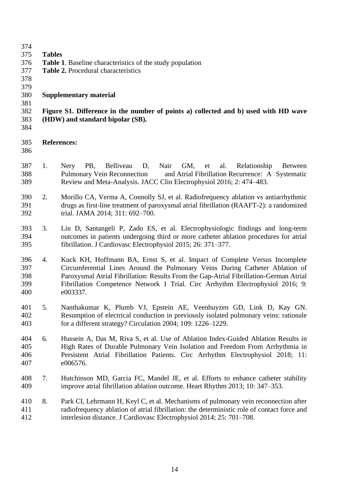374<br>375 **Tables Table 1**. Baseline characteristics of the study population **Table 2.** Procedural characteristics 379<br>380 **Supplementary material Figure S1. Difference in the number of points a) collected and b) used with HD wave (HDW) and standard bipolar (SB). References:** 1. Nery PB, Belliveau D, Nair GM, et al. Relationship Between Pulmonary Vein Reconnection and Atrial Fibrillation Recurrence: A Systematic Review and Meta-Analysis. JACC Clin Electrophysiol 2016; 2: 474–483. 2. Morillo CA, Verma A, Connolly SJ, et al. Radiofrequency ablation vs antiarrhythmic drugs as first-line treatment of paroxysmal atrial fibrillation (RAAFT-2): a randomized trial. JAMA 2014; 311: 692–700. 3. Lin D, Santangeli P, Zado ES, et al. Electrophysiologic findings and long-term outcomes in patients undergoing third or more catheter ablation procedures for atrial fibrillation. J Cardiovasc Electrophysiol 2015; 26: 371–377. 4. Kuck KH, Hoffmann BA, Ernst S, et al. Impact of Complete Versus Incomplete Circumferential Lines Around the Pulmonary Veins During Catheter Ablation of Paroxysmal Atrial Fibrillation: Results From the Gap-Atrial Fibrillation-German Atrial Fibrillation Competence Network 1 Trial. Circ Arrhythm Electrophysiol 2016; 9: e003337. 5. Nanthakumar K, Plumb VJ, Epstein AE, Veenhuyzen GD, Link D, Kay GN. Resumption of electrical conduction in previously isolated pulmonary veins: rationale for a different strategy? Circulation 2004; 109: 1226–1229. 6. Hussein A, Das M, Riva S, et al. Use of Ablation Index-Guided Ablation Results in High Rates of Durable Pulmonary Vein Isolation and Freedom From Arrhythmia in Persistent Atrial Fibrillation Patients. Circ Arrhythm Electrophysiol 2018; 11: e006576. 7. Hutchinson MD, Garcia FC, Mandel JE, et al. Efforts to enhance catheter stability improve atrial fibrillation ablation outcome. Heart Rhythm 2013; 10: 347–353. 8. Park CI, Lehrmann H, Keyl C, et al. Mechanisms of pulmonary vein reconnection after radiofrequency ablation of atrial fibrillation: the deterministic role of contact force and interlesion distance. J Cardiovasc Electrophysiol 2014; 25: 701–708.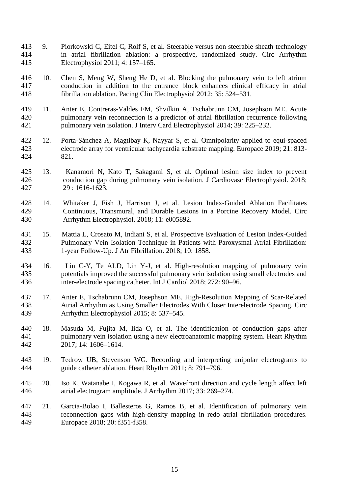- 9. Piorkowski C, Eitel C, Rolf S, et al. Steerable versus non steerable sheath technology in atrial fibrillation ablation: a prospective, randomized study. Circ Arrhythm Electrophysiol 2011; 4: 157–165.
- 10. Chen S, Meng W, Sheng He D, et al. Blocking the pulmonary vein to left atrium conduction in addition to the entrance block enhances clinical efficacy in atrial fibrillation ablation. Pacing Clin Electrophysiol 2012; 35: 524–531.
- 11. Anter E, Contreras-Valdes FM, Shvilkin A, Tschabrunn CM, Josephson ME. Acute pulmonary vein reconnection is a predictor of atrial fibrillation recurrence following pulmonary vein isolation. J Interv Card Electrophysiol 2014; 39: 225–232.
- 12. Porta-Sánchez A, Magtibay K, Nayyar S, et al. Omnipolarity applied to equi-spaced electrode array for ventricular tachycardia substrate mapping. Europace 2019; 21: 813- 821.
- 13. Kanamori N, Kato T, Sakagami S, et al. Optimal lesion size index to prevent conduction gap during pulmonary vein isolation. J Cardiovasc Electrophysiol. 2018; 29 : 1616-1623.
- 14. Whitaker J, Fish J, Harrison J, et al. Lesion Index-Guided Ablation Facilitates Continuous, Transmural, and Durable Lesions in a Porcine Recovery Model. Circ Arrhythm Electrophysiol. 2018; 11: e005892.
- 15. Mattia L, Crosato M, Indiani S, et al. Prospective Evaluation of Lesion Index-Guided Pulmonary Vein Isolation Technique in Patients with Paroxysmal Atrial Fibrillation: 1-year Follow-Up. J Atr Fibrillation. 2018; 10: 1858.
- 16. Lin C-Y, Te ALD, Lin Y-J, et al. High-resolution mapping of pulmonary vein potentials improved the successful pulmonary vein isolation using small electrodes and inter-electrode spacing catheter. Int J Cardiol 2018; 272: 90–96.
- 17. Anter E, Tschabrunn CM, Josephson ME. High-Resolution Mapping of Scar-Related Atrial Arrhythmias Using Smaller Electrodes With Closer Interelectrode Spacing. Circ Arrhythm Electrophysiol 2015; 8: 537–545.
- 18. Masuda M, Fujita M, Iida O, et al. The identification of conduction gaps after pulmonary vein isolation using a new electroanatomic mapping system. Heart Rhythm 2017; 14: 1606–1614.
- 19. Tedrow UB, Stevenson WG. Recording and interpreting unipolar electrograms to guide catheter ablation. Heart Rhythm 2011; 8: 791–796.
- 20. Iso K, Watanabe I, Kogawa R, et al. Wavefront direction and cycle length affect left atrial electrogram amplitude. J Arrhythm 2017; 33: 269–274.
- 21. Garcia-Bolao I, Ballesteros G, Ramos B, et al. Identification of pulmonary vein reconnection gaps with high-density mapping in redo atrial fibrillation procedures. Europace 2018; 20: f351-f358.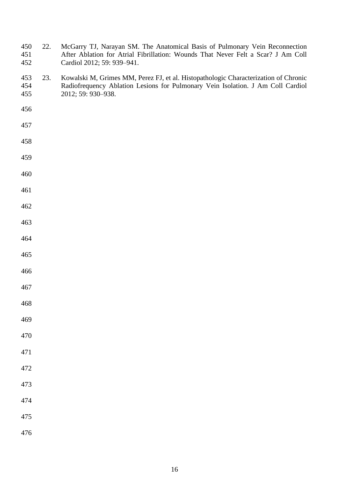- 450 22. McGarry TJ, Narayan SM. The Anatomical Basis of Pulmonary Vein Reconnection<br>451 616 451 After Ablation for Atrial Fibrillation: Wounds That Never Felt a Scar? J Am Coll 451 After Ablation for Atrial Fibrillation: Wounds That Never Felt a Scar? J Am Coll Cardiol 2012; 59: 939–941. Cardiol 2012; 59: 939-941.
- 23. Kowalski M, Grimes MM, Perez FJ, et al. Histopathologic Characterization of Chronic Radiofrequency Ablation Lesions for Pulmonary Vein Isolation. J Am Coll Cardiol 2012; 59: 930–938.
- 
- 

- 
- 
- 
- 
- 
- 
- 
- 
- 
- 
- 
- 
- 
- 
- 
- 
- 
- 
- 
- 
- 
-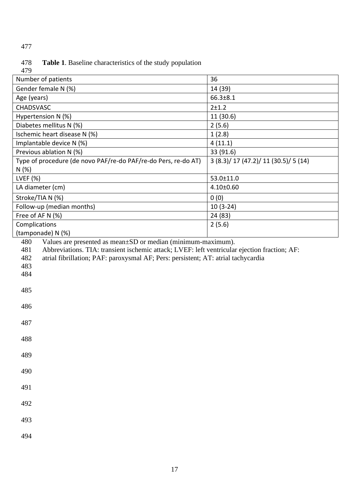## Table 1. Baseline characteristics of the study population 478<br>479

| 419                                                                                                                                                                                                                                                                                                                            |                                |  |  |
|--------------------------------------------------------------------------------------------------------------------------------------------------------------------------------------------------------------------------------------------------------------------------------------------------------------------------------|--------------------------------|--|--|
| Number of patients                                                                                                                                                                                                                                                                                                             | 36                             |  |  |
| Gender female N (%)                                                                                                                                                                                                                                                                                                            | 14 (39)                        |  |  |
| Age (years)                                                                                                                                                                                                                                                                                                                    | 66.3±8.1                       |  |  |
| <b>CHADSVASC</b>                                                                                                                                                                                                                                                                                                               | $2 + 1.2$                      |  |  |
| Hypertension N (%)                                                                                                                                                                                                                                                                                                             | 11 (30.6)                      |  |  |
| Diabetes mellitus N (%)                                                                                                                                                                                                                                                                                                        | 2(5.6)                         |  |  |
| Ischemic heart disease N (%)                                                                                                                                                                                                                                                                                                   | 1(2.8)                         |  |  |
| Implantable device N (%)                                                                                                                                                                                                                                                                                                       | 4(11.1)                        |  |  |
| Previous ablation N (%)                                                                                                                                                                                                                                                                                                        | 33 (91.6)                      |  |  |
| Type of procedure (de novo PAF/re-do PAF/re-do Pers, re-do AT)                                                                                                                                                                                                                                                                 | 3(8.3)/17(47.2)/11(30.5)/5(14) |  |  |
| N(%)                                                                                                                                                                                                                                                                                                                           |                                |  |  |
| LVEF (%)                                                                                                                                                                                                                                                                                                                       | 53.0±11.0                      |  |  |
| LA diameter (cm)                                                                                                                                                                                                                                                                                                               | 4.10±0.60                      |  |  |
| Stroke/TIA N (%)                                                                                                                                                                                                                                                                                                               | 0(0)                           |  |  |
| Follow-up (median months)                                                                                                                                                                                                                                                                                                      | $10(3-24)$                     |  |  |
| Free of AF N (%)                                                                                                                                                                                                                                                                                                               | 24 (83)                        |  |  |
| Complications                                                                                                                                                                                                                                                                                                                  | 2(5.6)                         |  |  |
| (tamponade) N (%)                                                                                                                                                                                                                                                                                                              |                                |  |  |
| Values are presented as mean±SD or median (minimum-maximum).<br>480<br>481<br>Abbreviations. TIA: transient ischemic attack; LVEF: left ventricular ejection fraction; AF:<br>482<br>atrial fibrillation; PAF: paroxysmal AF; Pers: persistent; AT: atrial tachycardia<br>483<br>484<br>485<br>486<br>487<br>488<br>489<br>490 |                                |  |  |
| 491<br>492<br>493                                                                                                                                                                                                                                                                                                              |                                |  |  |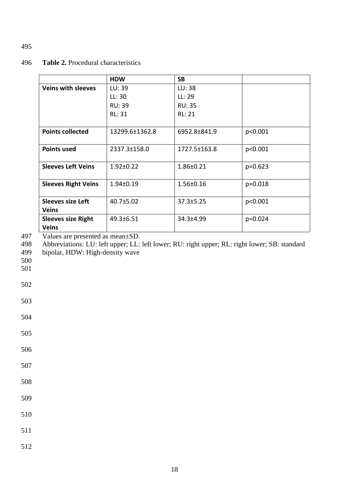## 496 **Table 2.** Procedural characteristics

|                            | <b>HDW</b>      | <b>SB</b>       |           |
|----------------------------|-----------------|-----------------|-----------|
| <b>Veins with sleeves</b>  | LU: 39          | LU: 38          |           |
|                            | LL:30           | LL: 29          |           |
|                            | <b>RU: 39</b>   | <b>RU: 35</b>   |           |
|                            | RL: 31          | <b>RL: 21</b>   |           |
|                            |                 |                 |           |
| <b>Points collected</b>    | 13299.6±1362.8  | 6952.8±841.9    | p<0.001   |
|                            |                 |                 |           |
| <b>Points used</b>         | 2337.3±158.0    | 1727.5±163.8    | p<0.001   |
|                            |                 |                 |           |
| <b>Sleeves Left Veins</b>  | $1.92 \pm 0.22$ | 1.86±0.21       | $p=0.623$ |
|                            |                 |                 |           |
| <b>Sleeves Right Veins</b> | $1.94 \pm 0.19$ | 1.56±0.16       | $p=0.018$ |
|                            |                 |                 |           |
| <b>Sleeves size Left</b>   | 40.7±5.02       | $37.3 \pm 5.25$ | p<0.001   |
| <b>Veins</b>               |                 |                 |           |
| <b>Sleeves size Right</b>  | 49.3±6.51       | 34.3±4.99       | $p=0.024$ |
| Veins                      |                 |                 |           |

497 Values are presented as mean±SD.<br>498 Abbreviations: LU: left upper; LL:

498 Abbreviations: LU: left upper; LL: left lower; RU: right upper; RL: right lower; SB: standard bipolar, HDW: High-density wave bipolar, HDW: High-density wave

- 500
- 501
- 502
- 503

504

505

- 506
- 507
- 508
- 509

510

511

512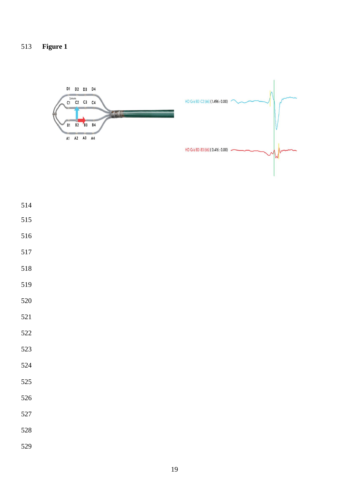

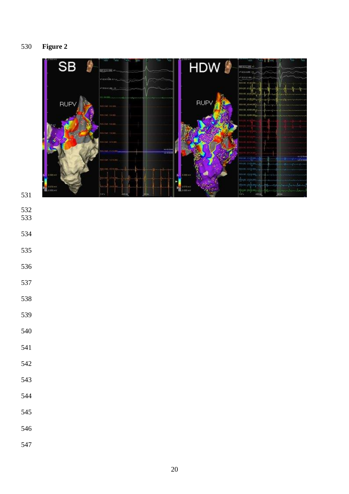

- 
- 
- 
- 
- 
- 
- 
- 
- 
- 
- 
- 
- 
- 
- 
- 
- 
- 
-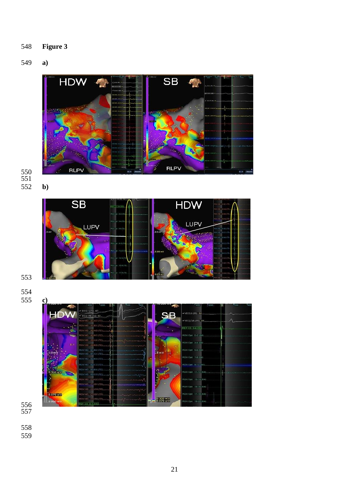**Figure 3**

# **a)**



 **b)**



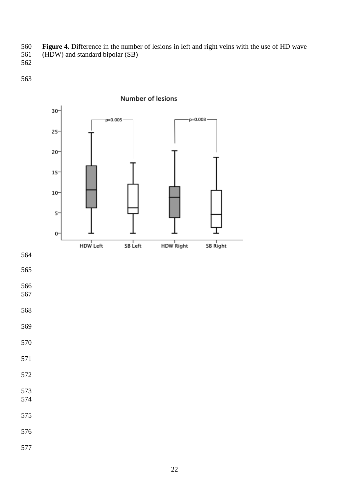- **Figure 4.** Difference in the number of lesions in left and right veins with the use of HD wave (HDW) and standard bipolar (SB)
- 

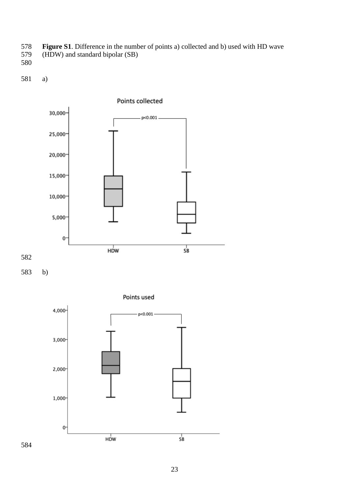- **Figure S1**. Difference in the number of points a) collected and b) used with HD wave
- (HDW) and standard bipolar (SB)
- 

a)